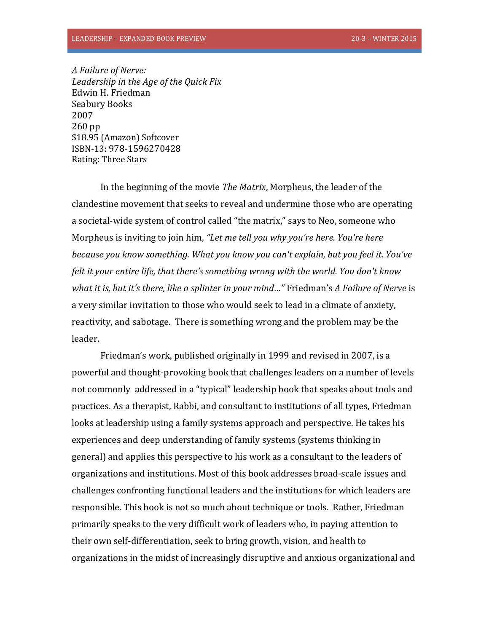*A Failure of Nerve: Leadership in the Age of the Quick Fix* Edwin H. Friedman Seabury Books 2007 260 pp \$18.95 (Amazon) Softcover ISBN-13: 978-1596270428 Rating: Three Stars

In the beginning of the movie *The Matrix*, Morpheus, the leader of the clandestine movement that seeks to reveal and undermine those who are operating a societal-wide system of control called "the matrix," says to Neo, someone who Morpheus is inviting to join him, *"Let me tell you why you're here. You're here because you know something. What you know you can't explain, but you feel it. You've felt it your entire life, that there's something wrong with the world. You don't know what it is, but it's there, like a splinter in your mind…"* Friedman's *A Failure of Nerve* is a very similar invitation to those who would seek to lead in a climate of anxiety, reactivity, and sabotage. There is something wrong and the problem may be the leader.

Friedman's work, published originally in 1999 and revised in 2007, is a powerful and thought-provoking book that challenges leaders on a number of levels not commonly addressed in a "typical" leadership book that speaks about tools and practices. As a therapist, Rabbi, and consultant to institutions of all types, Friedman looks at leadership using a family systems approach and perspective. He takes his experiences and deep understanding of family systems (systems thinking in general) and applies this perspective to his work as a consultant to the leaders of organizations and institutions. Most of this book addresses broad-scale issues and challenges confronting functional leaders and the institutions for which leaders are responsible. This book is not so much about technique or tools. Rather, Friedman primarily speaks to the very difficult work of leaders who, in paying attention to their own self-differentiation, seek to bring growth, vision, and health to organizations in the midst of increasingly disruptive and anxious organizational and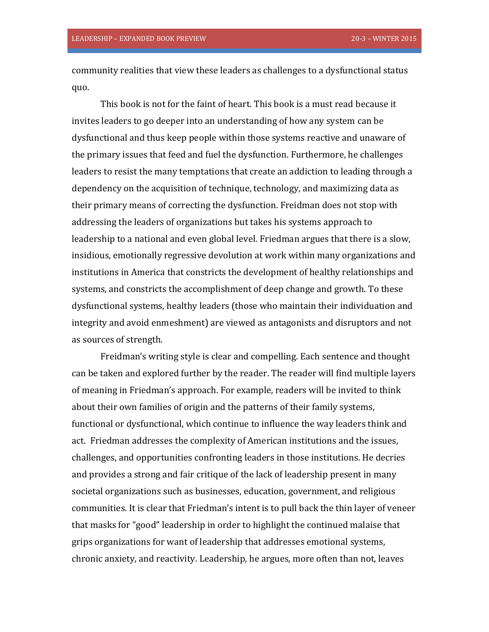community realities that view these leaders as challenges to a dysfunctional status quo.

This book is not for the faint of heart. This book is a must read because it invites leaders to go deeper into an understanding of how any system can be dysfunctional and thus keep people within those systems reactive and unaware of the primary issues that feed and fuel the dysfunction. Furthermore, he challenges leaders to resist the many temptations that create an addiction to leading through a dependency on the acquisition of technique, technology, and maximizing data as their primary means of correcting the dysfunction. Freidman does not stop with addressing the leaders of organizations but takes his systems approach to leadership to a national and even global level. Friedman argues that there is a slow, insidious, emotionally regressive devolution at work within many organizations and institutions in America that constricts the development of healthy relationships and systems, and constricts the accomplishment of deep change and growth. To these dysfunctional systems, healthy leaders (those who maintain their individuation and integrity and avoid enmeshment) are viewed as antagonists and disruptors and not as sources of strength.

Freidman's writing style is clear and compelling. Each sentence and thought can be taken and explored further by the reader. The reader will find multiple layers of meaning in Friedman's approach. For example, readers will be invited to think about their own families of origin and the patterns of their family systems, functional or dysfunctional, which continue to influence the way leaders think and act. Friedman addresses the complexity of American institutions and the issues, challenges, and opportunities confronting leaders in those institutions. He decries and provides a strong and fair critique of the lack of leadership present in many societal organizations such as businesses, education, government, and religious communities. It is clear that Friedman's intent is to pull back the thin layer of veneer that masks for "good" leadership in order to highlight the continued malaise that grips organizations for want of leadership that addresses emotional systems, chronic anxiety, and reactivity. Leadership, he argues, more often than not, leaves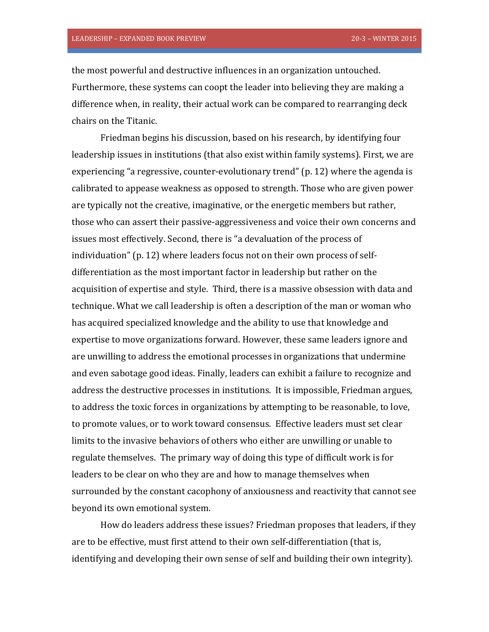the most powerful and destructive influences in an organization untouched. Furthermore, these systems can coopt the leader into believing they are making a difference when, in reality, their actual work can be compared to rearranging deck chairs on the Titanic.

Friedman begins his discussion, based on his research, by identifying four leadership issues in institutions (that also exist within family systems). First, we are experiencing "a regressive, counter-evolutionary trend" (p. 12) where the agenda is calibrated to appease weakness as opposed to strength. Those who are given power are typically not the creative, imaginative, or the energetic members but rather, those who can assert their passive-aggressiveness and voice their own concerns and issues most effectively. Second, there is "a devaluation of the process of individuation" (p. 12) where leaders focus not on their own process of selfdifferentiation as the most important factor in leadership but rather on the acquisition of expertise and style. Third, there is a massive obsession with data and technique. What we call leadership is often a description of the man or woman who has acquired specialized knowledge and the ability to use that knowledge and expertise to move organizations forward. However, these same leaders ignore and are unwilling to address the emotional processes in organizations that undermine and even sabotage good ideas. Finally, leaders can exhibit a failure to recognize and address the destructive processes in institutions. It is impossible, Friedman argues, to address the toxic forces in organizations by attempting to be reasonable, to love, to promote values, or to work toward consensus. Effective leaders must set clear limits to the invasive behaviors of others who either are unwilling or unable to regulate themselves. The primary way of doing this type of difficult work is for leaders to be clear on who they are and how to manage themselves when surrounded by the constant cacophony of anxiousness and reactivity that cannot see beyond its own emotional system.

How do leaders address these issues? Friedman proposes that leaders, if they are to be effective, must first attend to their own self-differentiation (that is, identifying and developing their own sense of self and building their own integrity).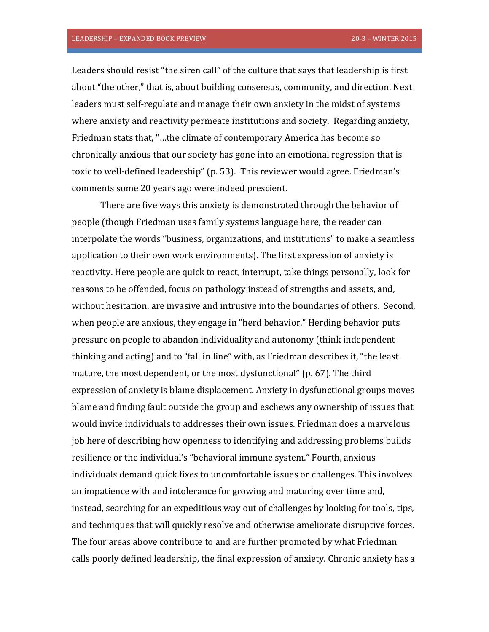Leaders should resist "the siren call" of the culture that says that leadership is first about "the other," that is, about building consensus, community, and direction. Next leaders must self-regulate and manage their own anxiety in the midst of systems where anxiety and reactivity permeate institutions and society. Regarding anxiety, Friedman stats that, "…the climate of contemporary America has become so chronically anxious that our society has gone into an emotional regression that is toxic to well-defined leadership" (p. 53). This reviewer would agree. Friedman's comments some 20 years ago were indeed prescient.

There are five ways this anxiety is demonstrated through the behavior of people (though Friedman uses family systems language here, the reader can interpolate the words "business, organizations, and institutions" to make a seamless application to their own work environments). The first expression of anxiety is reactivity. Here people are quick to react, interrupt, take things personally, look for reasons to be offended, focus on pathology instead of strengths and assets, and, without hesitation, are invasive and intrusive into the boundaries of others. Second, when people are anxious, they engage in "herd behavior." Herding behavior puts pressure on people to abandon individuality and autonomy (think independent thinking and acting) and to "fall in line" with, as Friedman describes it, "the least mature, the most dependent, or the most dysfunctional" (p. 67). The third expression of anxiety is blame displacement. Anxiety in dysfunctional groups moves blame and finding fault outside the group and eschews any ownership of issues that would invite individuals to addresses their own issues. Friedman does a marvelous job here of describing how openness to identifying and addressing problems builds resilience or the individual's "behavioral immune system." Fourth, anxious individuals demand quick fixes to uncomfortable issues or challenges. This involves an impatience with and intolerance for growing and maturing over time and, instead, searching for an expeditious way out of challenges by looking for tools, tips, and techniques that will quickly resolve and otherwise ameliorate disruptive forces. The four areas above contribute to and are further promoted by what Friedman calls poorly defined leadership, the final expression of anxiety. Chronic anxiety has a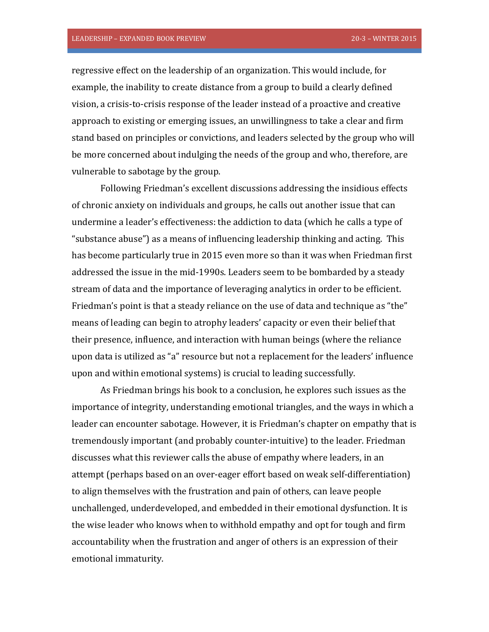regressive effect on the leadership of an organization. This would include, for example, the inability to create distance from a group to build a clearly defined vision, a crisis-to-crisis response of the leader instead of a proactive and creative approach to existing or emerging issues, an unwillingness to take a clear and firm stand based on principles or convictions, and leaders selected by the group who will be more concerned about indulging the needs of the group and who, therefore, are vulnerable to sabotage by the group.

Following Friedman's excellent discussions addressing the insidious effects of chronic anxiety on individuals and groups, he calls out another issue that can undermine a leader's effectiveness: the addiction to data (which he calls a type of "substance abuse") as a means of influencing leadership thinking and acting. This has become particularly true in 2015 even more so than it was when Friedman first addressed the issue in the mid-1990s. Leaders seem to be bombarded by a steady stream of data and the importance of leveraging analytics in order to be efficient. Friedman's point is that a steady reliance on the use of data and technique as "the" means of leading can begin to atrophy leaders' capacity or even their belief that their presence, influence, and interaction with human beings (where the reliance upon data is utilized as "a" resource but not a replacement for the leaders' influence upon and within emotional systems) is crucial to leading successfully.

As Friedman brings his book to a conclusion, he explores such issues as the importance of integrity, understanding emotional triangles, and the ways in which a leader can encounter sabotage. However, it is Friedman's chapter on empathy that is tremendously important (and probably counter-intuitive) to the leader. Friedman discusses what this reviewer calls the abuse of empathy where leaders, in an attempt (perhaps based on an over-eager effort based on weak self-differentiation) to align themselves with the frustration and pain of others, can leave people unchallenged, underdeveloped, and embedded in their emotional dysfunction. It is the wise leader who knows when to withhold empathy and opt for tough and firm accountability when the frustration and anger of others is an expression of their emotional immaturity.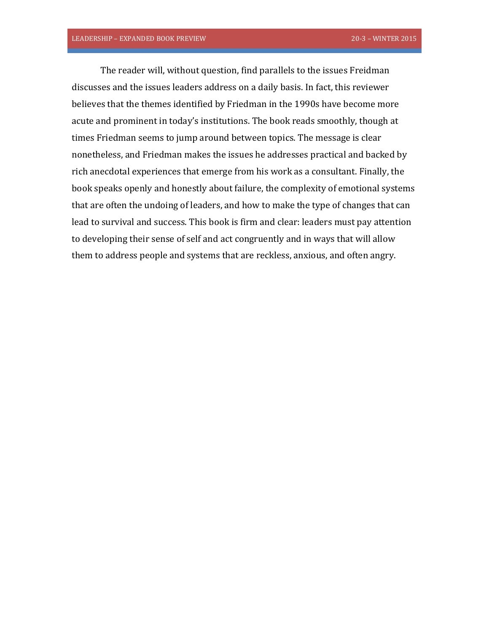The reader will, without question, find parallels to the issues Freidman discusses and the issues leaders address on a daily basis. In fact, this reviewer believes that the themes identified by Friedman in the 1990s have become more acute and prominent in today's institutions. The book reads smoothly, though at times Friedman seems to jump around between topics. The message is clear nonetheless, and Friedman makes the issues he addresses practical and backed by rich anecdotal experiences that emerge from his work as a consultant. Finally, the book speaks openly and honestly about failure, the complexity of emotional systems that are often the undoing of leaders, and how to make the type of changes that can lead to survival and success. This book is firm and clear: leaders must pay attention to developing their sense of self and act congruently and in ways that will allow them to address people and systems that are reckless, anxious, and often angry.